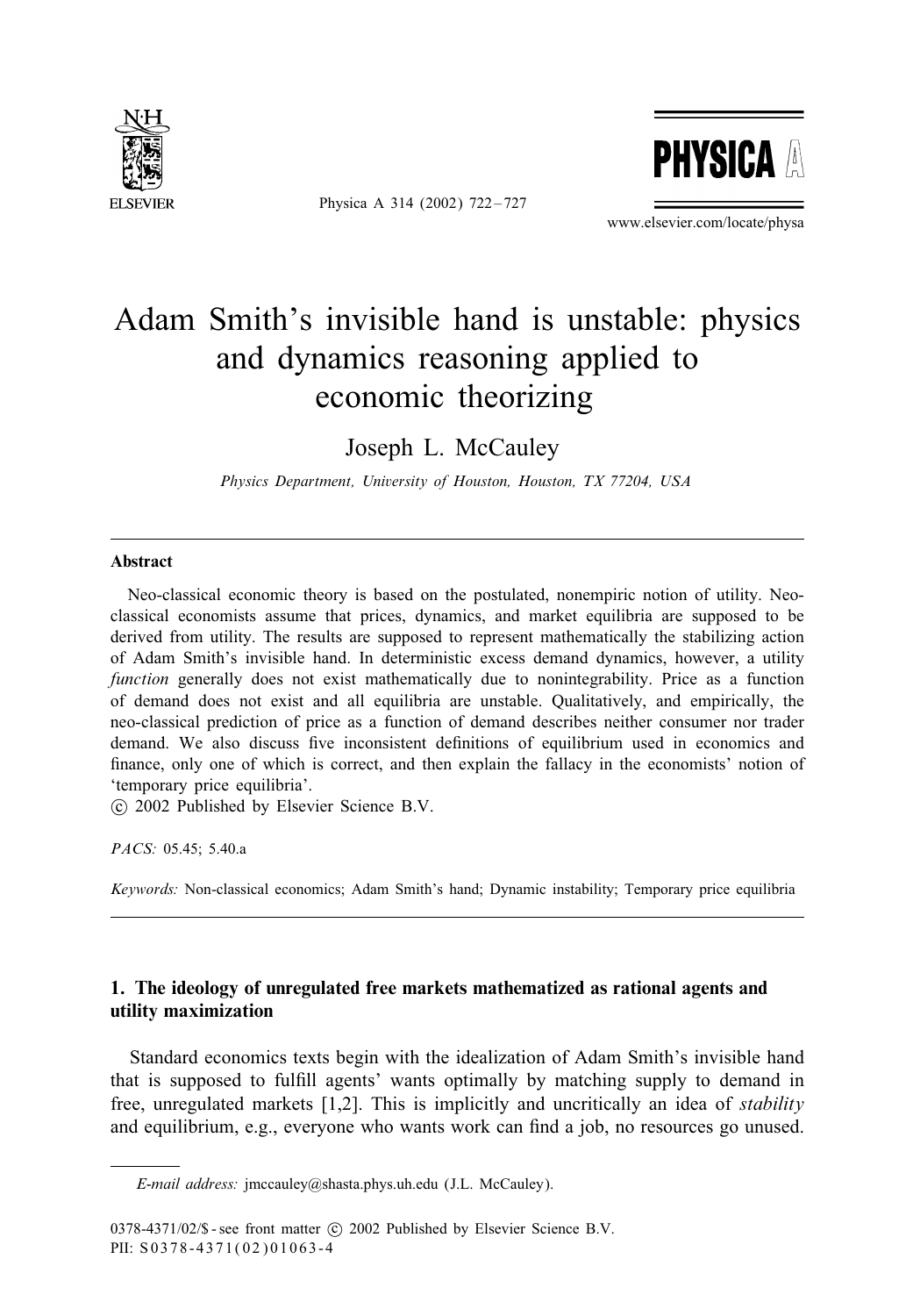

Physica A 314 (2002) 722 – 727



www.elsevier.com/locate/physa

## Adam Smith's invisible hand is unstable: physics and dynamics reasoning applied to economic theorizing

Joseph L. McCauley

*Physics Department, University of Houston, Houston, TX 77204, USA*

## Abstract

Neo-classical economic theory is based on the postulated, nonempiric notion of utility. Neoclassical economists assume that prices, dynamics, and market equilibria are supposed to be derived from utility. The results are supposed to represent mathematically the stabilizing action of Adam Smith's invisible hand. In deterministic excess demand dynamics, however, a utility *function* generally does not exist mathematically due to nonintegrability. Price as a function of demand does not exist and all equilibria are unstable. Qualitatively, and empirically, the neo-classical prediction of price as a function of demand describes neither consumer nor trader demand. We also discuss five inconsistent definitions of equilibrium used in economics and finance, only one of which is correct, and then explain the fallacy in the economists' notion of 'temporary price equilibria'.

c 2002 Published by Elsevier Science B.V.

*PACS:* 05.45; 5.40.a

*Keywords:* Non-classical economics; Adam Smith's hand; Dynamic instability; Temporary price equilibria

## 1. The ideology of unregulated free markets mathematized as rational agents and utility maximization

Standard economics texts begin with the idealization of Adam Smith's invisible hand that is supposed to ful5ll agents' wants optimally by matching supply to demand in free, unregulated markets [1,2]. This is implicitly and uncritically an idea of *stability* and equilibrium, e.g., everyone who wants work can find a job, no resources go unused.

*E-mail address:* jmccauley@shasta.phys.uh.edu (J.L. McCauley).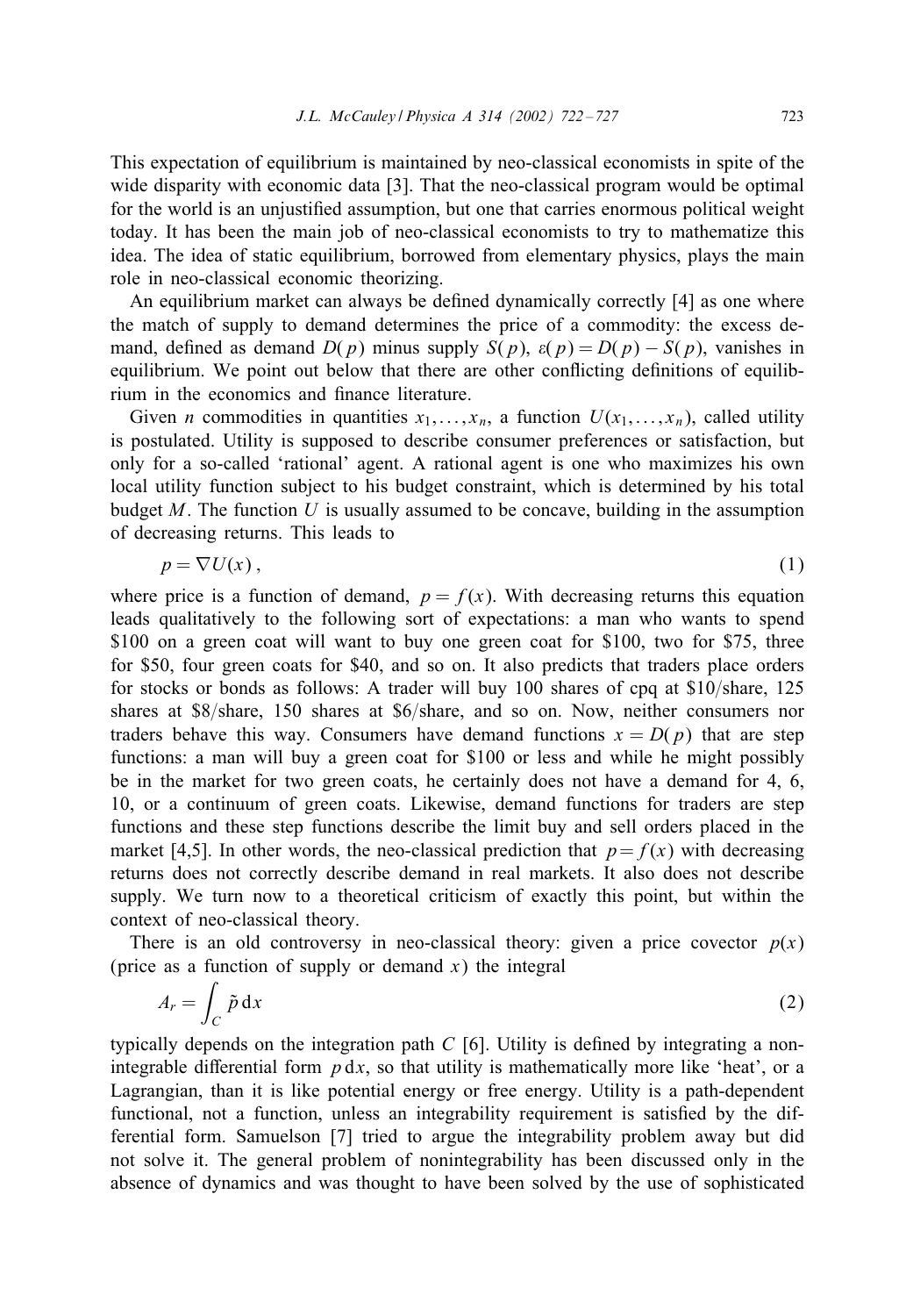This expectation of equilibrium is maintained by neo-classical economists in spite of the wide disparity with economic data [3]. That the neo-classical program would be optimal for the world is an unjustified assumption, but one that carries enormous political weight today. It has been the main job of neo-classical economists to try to mathematize this idea. The idea of static equilibrium, borrowed from elementary physics, plays the main role in neo-classical economic theorizing.

An equilibrium market can always be defined dynamically correctly [4] as one where the match of supply to demand determines the price of a commodity: the excess demand, defined as demand  $D(p)$  minus supply  $S(p)$ ,  $\varepsilon(p) = D(p) - S(p)$ , vanishes in equilibrium. We point out below that there are other conflicting definitions of equilibrium in the economics and finance literature.

Given *n* commodities in quantities  $x_1, \ldots, x_n$ , a function  $U(x_1, \ldots, x_n)$ , called utility is postulated. Utility is supposed to describe consumer preferences or satisfaction, but only for a so-called 'rational' agent. A rational agent is one who maximizes his own local utility function subject to his budget constraint, which is determined by his total budget  $M$ . The function  $U$  is usually assumed to be concave, building in the assumption of decreasing returns. This leads to

$$
p = \nabla U(x),\tag{1}
$$

where price is a function of demand,  $p = f(x)$ . With decreasing returns this equation leads qualitatively to the following sort of expectations: a man who wants to spend \$100 on a green coat will want to buy one green coat for \$100, two for \$75, three for \$50, four green coats for \$40, and so on. It also predicts that traders place orders for stocks or bonds as follows: A trader will buy 100 shares of cpq at  $$10/s$ hare, 125 shares at  $$8$ /share, 150 shares at  $$6$ /share, and so on. Now, neither consumers nor traders behave this way. Consumers have demand functions  $x = D(p)$  that are step functions: a man will buy a green coat for \$100 or less and while he might possibly be in the market for two green coats, he certainly does not have a demand for 4, 6, 10, or a continuum of green coats. Likewise, demand functions for traders are step functions and these step functions describe the limit buy and sell orders placed in the market [4,5]. In other words, the neo-classical prediction that  $p=f(x)$  with decreasing returns does not correctly describe demand in real markets. It also does not describe supply. We turn now to a theoretical criticism of exactly this point, but within the context of neo-classical theory.

There is an old controversy in neo-classical theory: given a price covector  $p(x)$ (price as a function of supply or demand x) the integral

$$
A_r = \int_C \tilde{p} \, dx \tag{2}
$$

typically depends on the integration path  $C$  [6]. Utility is defined by integrating a nonintegrable differential form  $p \, dx$ , so that utility is mathematically more like 'heat', or a Lagrangian, than it is like potential energy or free energy. Utility is a path-dependent functional, not a function, unless an integrability requirement is satisfied by the differential form. Samuelson [7] tried to argue the integrability problem away but did not solve it. The general problem of nonintegrability has been discussed only in the absence of dynamics and was thought to have been solved by the use of sophisticated